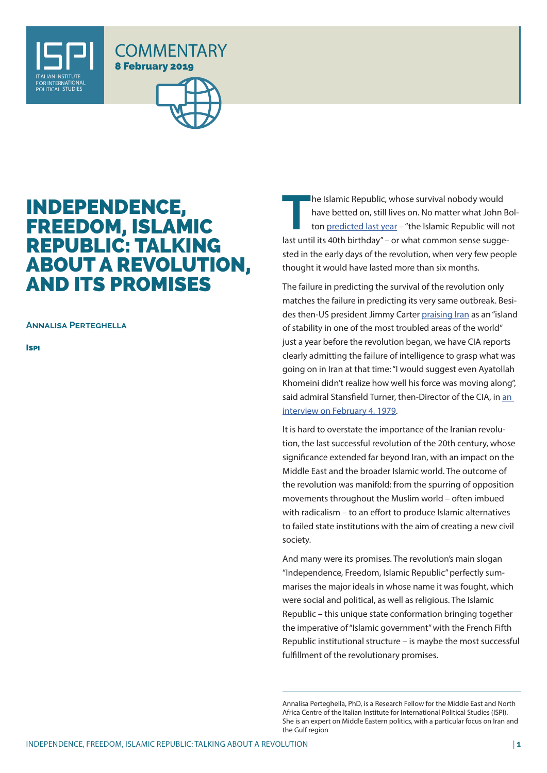



## INDEPENDENCE, FREEDOM, ISLAMIC REPUBLIC: TALKING ABOUT A REVOLUTION, AND ITS PROMISES

**Annalisa Perteghella**

**Ispi** 

**T**he Islamic Republic, whose survival nobody would have betted on, still lives on. No matter what John Bolton predicted last year - "the Islamic Republic will not last until its 40th birthday" – or what common sense suggested in the early days of the revolution, when very few people thought it would have lasted more than six months.

The failure in predicting the survival of the revolution only matches the failure in predicting its very same outbreak. Besides then-US president Jimmy Carter praising Iran as an "island of stability in one of the most troubled areas of the world" just a year before the revolution began, we have CIA reports clearly admitting the failure of intelligence to grasp what was going on in Iran at that time: "I would suggest even Ayatollah Khomeini didn't realize how well his force was moving along", said admiral Stansfield Turner, then-Director of the CIA, in an interview on February 4, 1979.

It is hard to overstate the importance of the Iranian revolution, the last successful revolution of the 20th century, whose significance extended far beyond Iran, with an impact on the Middle East and the broader Islamic world. The outcome of the revolution was manifold: from the spurring of opposition movements throughout the Muslim world – often imbued with radicalism – to an effort to produce Islamic alternatives to failed state institutions with the aim of creating a new civil society.

And many were its promises. The revolution's main slogan "Independence, Freedom, Islamic Republic" perfectly summarises the major ideals in whose name it was fought, which were social and political, as well as religious. The Islamic Republic – this unique state conformation bringing together the imperative of "Islamic government" with the French Fifth Republic institutional structure – is maybe the most successful fulfillment of the revolutionary promises.

Annalisa Perteghella, PhD, is a Research Fellow for the Middle East and North Africa Centre of the Italian Institute for International Political Studies (ISPI). She is an expert on Middle Eastern politics, with a particular focus on Iran and the Gulf region